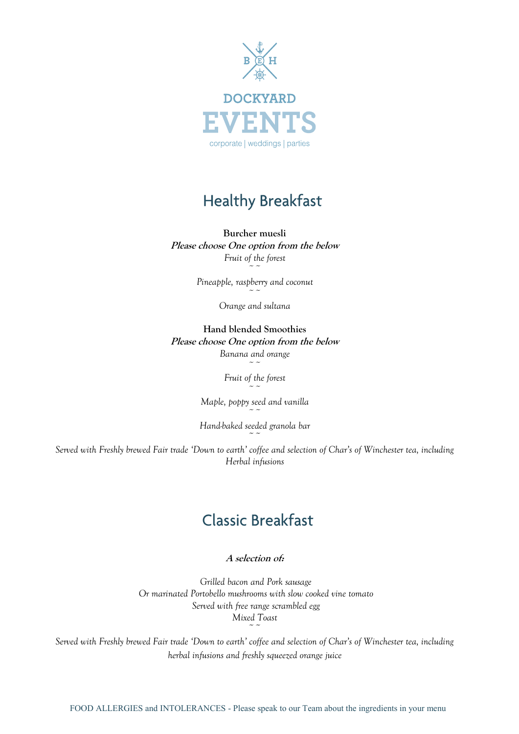

#### *infusions Finger sandwiches- Cucumber, Severn and Wye smoked salmon and free range egg mayonnaise Mini cakes, mini fruit scones with clotted cream and strawberry preserve*

#### **Burcher muesli**

**Please choose One option from the below Please choose Fruit of the forest Pluare Choose** Choose Choose Choose Choose Choose Choose Choose Choose Choose Choose Choose Choose Choose Choose Choose Choose Choose Choose Choose Choose Choose Choose Choose Choose Choose Choose Choose Choose Choose Cho **b** the below

> *~~ Pineapple, raspberry and coconut Pineapple, raspberry and coconut*

*Freshly brewed Fair trade 'Down to earth' coffee and selection of Char's of Winchester tea, including herbal Orange and sultana ~~*

*Finger Sandwiches -Coronation Chicken, Severn and Wye smoked salmon, free range egg mayonnaise*  **Hand blended Smoothies** *Premium cakes, mini butter scones with clotted cream and preserve, mini fruit tartlets with fresh berries* **Please choose One option from the below Hand blended Smoothies Banana and orange Please choose choose** choose of *Please trom the below* 

> *~~ Fruit of the forest ~~*

*Maple, poppy seed and vanilla Maple, poppy seed and vanilla Maple, poppy seed and vanilla ~~*

*Freshly brewed Fair trade 'Down to earth' coffee and selection of Char's of Winchester tea, including herbal Hand-baked seeded granola bar Hand-baked seeded granola bar*  $\sim$   $\sim$ *Hand-baked seeded granola bar*

*infusions Served with Freshly brewed Fair trade 'Down to earth' coffee and selection of Char's of Winchester tea, including Finger Sandwiches - Poached Scottish salmon with dill, smoked ham and tomato, free range egg mayonnaise Herbal infusions*  $\sim$ *Served with Freshly brewed Fair trade 'Down to earth' coffee and selection of Char's of Winchester tea, including* ~<br>~~ *Served with Freshly brewed Fair trade 'Down to earth' coffee and selection of Char's of Winchester tea, including*

### **Classic Breakfast**

### **A selection of:**

*Grilled bacon and Pork sausage Or marinated Portobello mushrooms with slow cooked vine tomato Served with free range scrambled egg Served with free range scrambled egg Mixed Toast Grilled bacon and Pork sausage Or marinated Portobello mushrooms with slow cooked vine tomato Grilled bacon and Pork sausage Or marinated Portobello mushrooms with slow cooked vine tomato Served with free range scrambled egg*

*Served with Freshly brewed Fair trade 'Down to earth' coffee and selection of Char's of Winchester tea, including herbal infusions and freshly squeezed orange juice herbal infusions and freshly squeezed orange juice*  $\sim$ *Served with Freshly brewed Fair trade 'Down to earth' coffee and selection of Char's of Winchester tea, including*  ~<br>~~ *Served with Freshly brewed Fair trade 'Down to earth' coffee and selection of Char's of Winchester tea, including herbal infusions and freshly squeezed orange juice*

 $\sim$   $\sim$ 

FOOD ALLERGIES and INTOLERANCES - Please speak to our Team about the ingredients in your menu